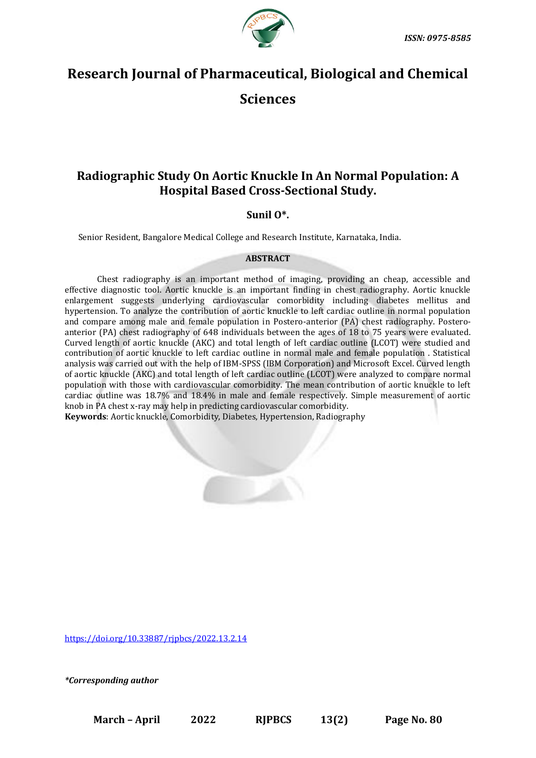

## **Research Journal of Pharmaceutical, Biological and Chemical**

**Sciences**

## **Radiographic Study On Aortic Knuckle In An Normal Population: A Hospital Based Cross-Sectional Study.**

### **Sunil O\*.**

Senior Resident, Bangalore Medical College and Research Institute, Karnataka, India.

### **ABSTRACT**

Chest radiography is an important method of imaging, providing an cheap, accessible and effective diagnostic tool. Aortic knuckle is an important finding in chest radiography. Aortic knuckle enlargement suggests underlying cardiovascular comorbidity including diabetes mellitus and hypertension. To analyze the contribution of aortic knuckle to left cardiac outline in normal population and compare among male and female population in Postero-anterior (PA) chest radiography. Posteroanterior (PA) chest radiography of 648 individuals between the ages of 18 to 75 years were evaluated. Curved length of aortic knuckle (AKC) and total length of left cardiac outline (LCOT) were studied and contribution of aortic knuckle to left cardiac outline in normal male and female population . Statistical analysis was carried out with the help of IBM-SPSS (IBM Corporation) and Microsoft Excel. Curved length of aortic knuckle (AKC) and total length of left cardiac outline (LCOT) were analyzed to compare normal population with those with cardiovascular comorbidity. The mean contribution of aortic knuckle to left cardiac outline was 18.7% and 18.4% in male and female respectively. Simple measurement of aortic knob in PA chest x-ray may help in predicting cardiovascular comorbidity.

**Keywords**: Aortic knuckle, Comorbidity, Diabetes, Hypertension, Radiography

[https://doi.org/10.33887/rjpbcs/2022.13.2.14](https://doi.org/10.33887/rjpbcs/2022.13.2.1)

*\*Corresponding author*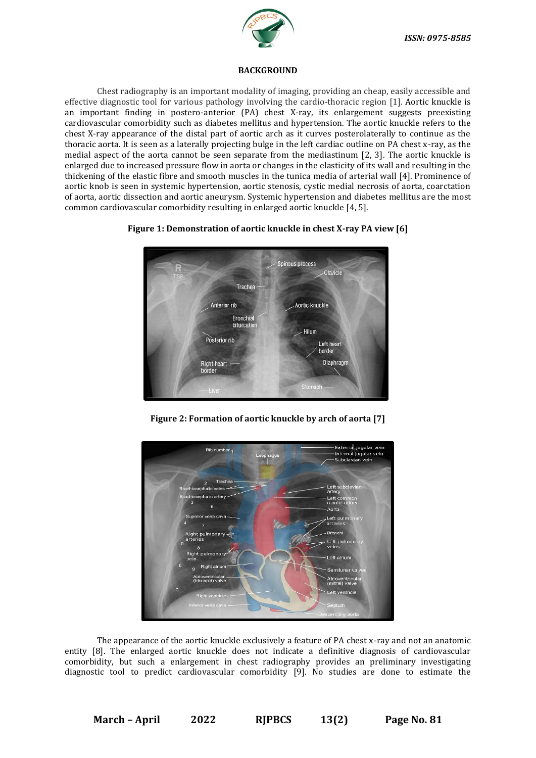

### **BACKGROUND**

Chest radiography is an important modality of imaging, providing an cheap, easily accessible and effective diagnostic tool for various pathology involving the cardio-thoracic region [1]. Aortic knuckle is an important finding in postero-anterior (PA) chest X-ray, its enlargement suggests preexisting cardiovascular comorbidity such as diabetes mellitus and hypertension. The aortic knuckle refers to the chest X-ray appearance of the distal part of aortic arch as it curves posterolaterally to continue as the thoracic aorta. It is seen as a laterally projecting bulge in the left cardiac outline on PA chest x-ray, as the medial aspect of the aorta cannot be seen separate from the mediastinum [2, 3]. The aortic knuckle is enlarged due to increased pressure flow in aorta or changes in the elasticity of its wall and resulting in the thickening of the elastic fibre and smooth muscles in the tunica media of arterial wall [4]. Prominence of aortic knob is seen in systemic hypertension, aortic stenosis, cystic medial necrosis of aorta, coarctation of aorta, aortic dissection and aortic aneurysm. Systemic hypertension and diabetes mellitus are the most common cardiovascular comorbidity resulting in enlarged aortic knuckle [4, 5].





**Figure 2: Formation of aortic knuckle by arch of aorta [7]**



The appearance of the aortic knuckle exclusively a feature of PA chest x-ray and not an anatomic entity [8]. The enlarged aortic knuckle does not indicate a definitive diagnosis of cardiovascular comorbidity, but such a enlargement in chest radiography provides an preliminary investigating diagnostic tool to predict cardiovascular comorbidity [9]. No studies are done to estimate the

**March – April 2022 RJPBCS 13(2) Page No. 81**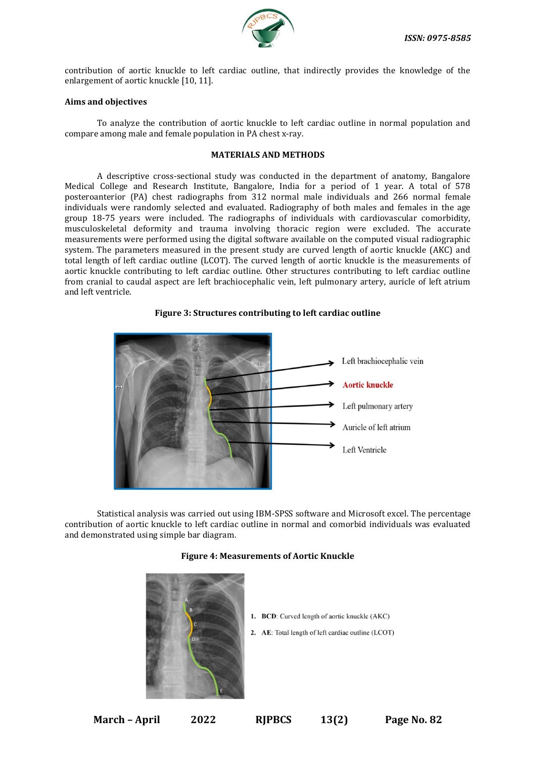

contribution of aortic knuckle to left cardiac outline, that indirectly provides the knowledge of the enlargement of aortic knuckle [10, 11].

### **Aims and objectives**

To analyze the contribution of aortic knuckle to left cardiac outline in normal population and compare among male and female population in PA chest x-ray.

### **MATERIALS AND METHODS**

A descriptive cross-sectional study was conducted in the department of anatomy, Bangalore Medical College and Research Institute, Bangalore, India for a period of 1 year. A total of 578 posteroanterior (PA) chest radiographs from 312 normal male individuals and 266 normal female individuals were randomly selected and evaluated. Radiography of both males and females in the age group 18-75 years were included. The radiographs of individuals with cardiovascular comorbidity, musculoskeletal deformity and trauma involving thoracic region were excluded. The accurate measurements were performed using the digital software available on the computed visual radiographic system. The parameters measured in the present study are curved length of aortic knuckle (AKC) and total length of left cardiac outline (LCOT). The curved length of aortic knuckle is the measurements of aortic knuckle contributing to left cardiac outline. Other structures contributing to left cardiac outline from cranial to caudal aspect are left brachiocephalic vein, left pulmonary artery, auricle of left atrium and left ventricle.

# Left brachiocephalic vein **Aortic knuckle** Left pulmonary artery Auricle of left atrium Left Ventricle

**Figure 3: Structures contributing to left cardiac outline**

Statistical analysis was carried out using IBM-SPSS software and Microsoft excel. The percentage contribution of aortic knuckle to left cardiac outline in normal and comorbid individuals was evaluated and demonstrated using simple bar diagram.

#### **Figure 4: Measurements of Aortic Knuckle**



**March – April 2022 RJPBCS 13(2) Page No. 82**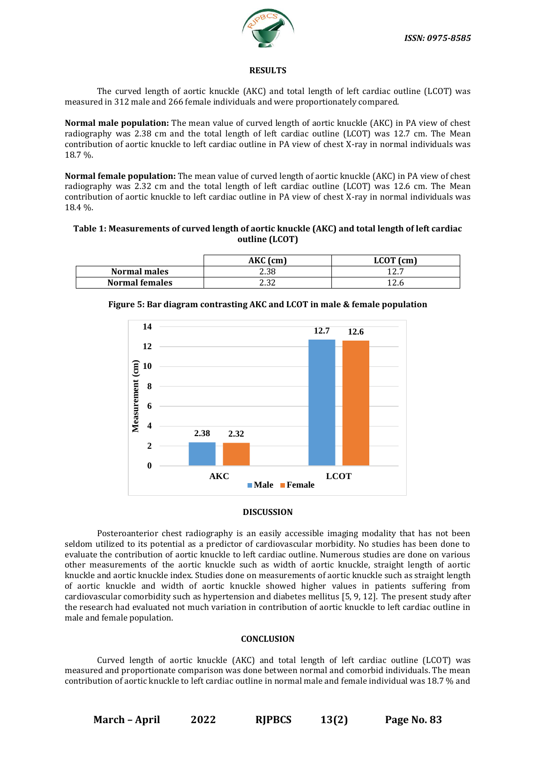

### **RESULTS**

The curved length of aortic knuckle (AKC) and total length of left cardiac outline (LCOT) was measured in 312 male and 266 female individuals and were proportionately compared.

**Normal male population:** The mean value of curved length of aortic knuckle (AKC) in PA view of chest radiography was 2.38 cm and the total length of left cardiac outline (LCOT) was 12.7 cm. The Mean contribution of aortic knuckle to left cardiac outline in PA view of chest X-ray in normal individuals was 18.7 %.

**Normal female population:** The mean value of curved length of aortic knuckle (AKC) in PA view of chest radiography was 2.32 cm and the total length of left cardiac outline (LCOT) was 12.6 cm. The Mean contribution of aortic knuckle to left cardiac outline in PA view of chest X-ray in normal individuals was 18.4 %.

### **Table 1: Measurements of curved length of aortic knuckle (AKC) and total length of left cardiac outline (LCOT)**

|                       | AKC (cm) | LCOT (cm) |  |
|-----------------------|----------|-----------|--|
| <b>Normal males</b>   | 2.38     | 12.7      |  |
| <b>Normal females</b> | 2.32     | 12.6      |  |



| Figure 5: Bar diagram contrasting AKC and LCOT in male & female population |  |  |
|----------------------------------------------------------------------------|--|--|

### **DISCUSSION**

Posteroanterior chest radiography is an easily accessible imaging modality that has not been seldom utilized to its potential as a predictor of cardiovascular morbidity. No studies has been done to evaluate the contribution of aortic knuckle to left cardiac outline. Numerous studies are done on various other measurements of the aortic knuckle such as width of aortic knuckle, straight length of aortic knuckle and aortic knuckle index. Studies done on measurements of aortic knuckle such as straight length of aortic knuckle and width of aortic knuckle showed higher values in patients suffering from cardiovascular comorbidity such as hypertension and diabetes mellitus [5, 9, 12]. The present study after the research had evaluated not much variation in contribution of aortic knuckle to left cardiac outline in male and female population.

### **CONCLUSION**

Curved length of aortic knuckle (AKC) and total length of left cardiac outline (LCOT) was measured and proportionate comparison was done between normal and comorbid individuals. The mean contribution of aortic knuckle to left cardiac outline in normal male and female individual was 18.7 % and

**March – April 2022 RJPBCS 13(2) Page No. 83**